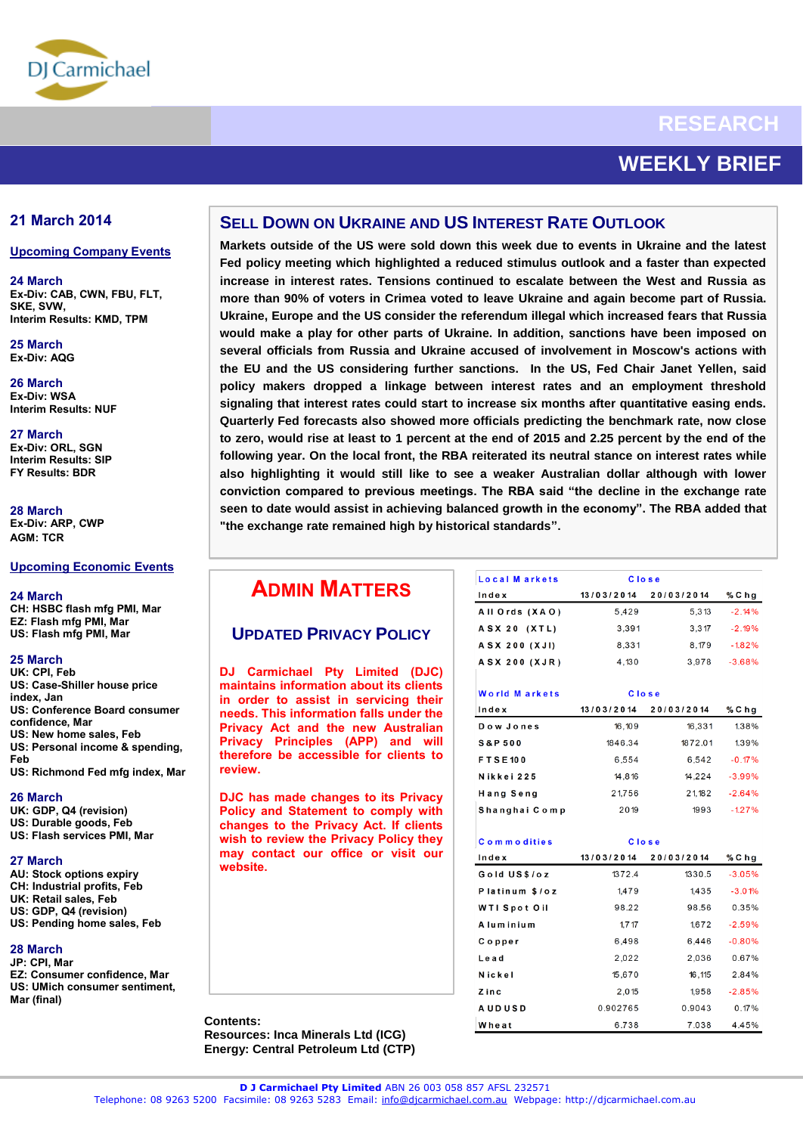

# **RESEARCH**

# **WEEKLY BRIEF**

## **21 March 2014**

#### **Upcoming Company Events**

**24 March Ex-Div: CAB, CWN, FBU, FLT, SKE, SVW, Interim Results: KMD, TPM**

**25 March Ex-Div: AQG**

**26 March Ex-Div: WSA Interim Results: NUF**

**27 March Ex-Div: ORL, SGN Interim Results: SIP FY Results: BDR**

**28 March Ex-Div: ARP, CWP AGM: TCR**

#### **Upcoming Economic Events**

**24 March CH: HSBC flash mfg PMI, Mar EZ: Flash mfg PMI, Mar US: Flash mfg PMI, Mar** 

#### **25 March**

**UK: CPI, Feb US: Case-Shiller house price index, Jan US: Conference Board consumer confidence, Mar US: New home sales, Feb US: Personal income & spending, Feb US: Richmond Fed mfg index, Mar** 

**26 March**

**UK: GDP, Q4 (revision) US: Durable goods, Feb US: Flash services PMI, Mar** 

#### **27 March**

**AU: Stock options expiry CH: Industrial profits, Feb UK: Retail sales, Feb US: GDP, Q4 (revision)** 

**US: Pending home sales, Feb** 

#### **28 March**

- **JP: CPI, Mar EZ: Consumer confidence, Mar**
- **US: UMich consumer sentiment, Mar (final)**

## **SELL DOWN ON UKRAINE AND US INTEREST RATE OUTLOOK**

 **Quarterly Fed forecasts also showed more officials predicting the benchmark rate, now close Markets outside of the US were sold down this week due to events in Ukraine and the latest Fed policy meeting which highlighted a reduced stimulus outlook and a faster than expected increase in interest rates. Tensions continued to escalate between the West and Russia as more than 90% of voters in Crimea voted to leave Ukraine and again become part of Russia. Ukraine, Europe and the US consider the referendum illegal which increased fears that Russia would make a play for other parts of Ukraine. In addition, sanctions have been imposed on several officials from Russia and Ukraine accused of involvement in Moscow's actions with the EU and the US considering further sanctions. In the US, Fed Chair Janet Yellen, said policy makers dropped a linkage between interest rates and an employment threshold signaling that interest rates could start to increase six months after quantitative easing ends. to zero, would rise at least to 1 percent at the end of 2015 and 2.25 percent by the end of the following year. On the local front, the RBA reiterated its neutral stance on interest rates while also highlighting it would still like to see a weaker Australian dollar although with lower conviction compared to previous meetings. The RBA said "the decline in the exchange rate seen to date would assist in achieving balanced growth in the economy". The RBA added that "the exchange rate remained high by historical standards".** 

## **ADMIN MATTERS**

## **UPDATED PRIVACY POLICY**

**DJ Carmichael Pty Limited (DJC) maintains information about its clients in order to assist in servicing their needs. This information falls under the Privacy Act and the new Australian Privacy Principles (APP) and will therefore be accessible for clients to review.**

**DJC has made changes to its Privacy Policy and Statement to comply with changes to the Privacy Act. If clients wish to review the Privacy Policy they may contact our office or visit our website.**

**Contents: Resources: Inca Minerals Ltd (ICG) Energy: Central Petroleum Ltd (CTP)**

| Local Markets        | Close      |            |          |
|----------------------|------------|------------|----------|
| Index                | 13/03/2014 | 20/03/2014 | % C h g  |
| All Ords (XAO)       | 5,429      | 5.313      | $-2.14%$ |
| <b>ASX 20 (XTL)</b>  | 3,391      | 3.317      | $-2.19%$ |
| A S X 200 (X J I)    | 8,331      | 8.179      | $-182%$  |
| <b>ASX 200 (XJR)</b> | 4,130      | 3,978      | $-3.68%$ |

| World Markets     | Close      |            |          |
|-------------------|------------|------------|----------|
| Index             | 13/03/2014 | 20/03/2014 | % C h g  |
| Dow Jones         | 16,109     | 16.331     | 1.38%    |
| <b>S&amp;P500</b> | 1846.34    | 1872.01    | 1.39%    |
| <b>FTSE100</b>    | 6.554      | 6,542      | $-0.17%$ |
| Nikkei 225        | 14.816     | 14.224     | $-3.99%$ |
| Hang Seng         | 21,756     | 21.182     | $-2.64%$ |
| Shanghai Comp     | 2019       | 1993       | $-1.27%$ |

| <b>Commodities</b>  | <b>Close</b> |            |          |
|---------------------|--------------|------------|----------|
| Index               | 13/03/2014   | 20/03/2014 | % C h g  |
| Gold US\$/oz        | 1372.4       | 1330.5     | $-3.05%$ |
| Platinum \$/oz      | 1.479        | 1.435      | $-3.01%$ |
| <b>WTI Spot Oil</b> | 98.22        | 98.56      | 0.35%    |
| A lum inium         | 1.717        | 1.672      | $-2.59%$ |
| Copper              | 6,498        | 6,446      | $-0.80%$ |
| Lead                | 2,022        | 2,036      | 0.67%    |
| Nickel              | 15,670       | 16,115     | 2.84%    |
| Zinc                | 2,015        | 1,958      | $-2.85%$ |
| <b>AUDUSD</b>       | 0.902765     | 0.9043     | 0.17%    |
| Wheat               | 6.738        | 7.038      | 4.45%    |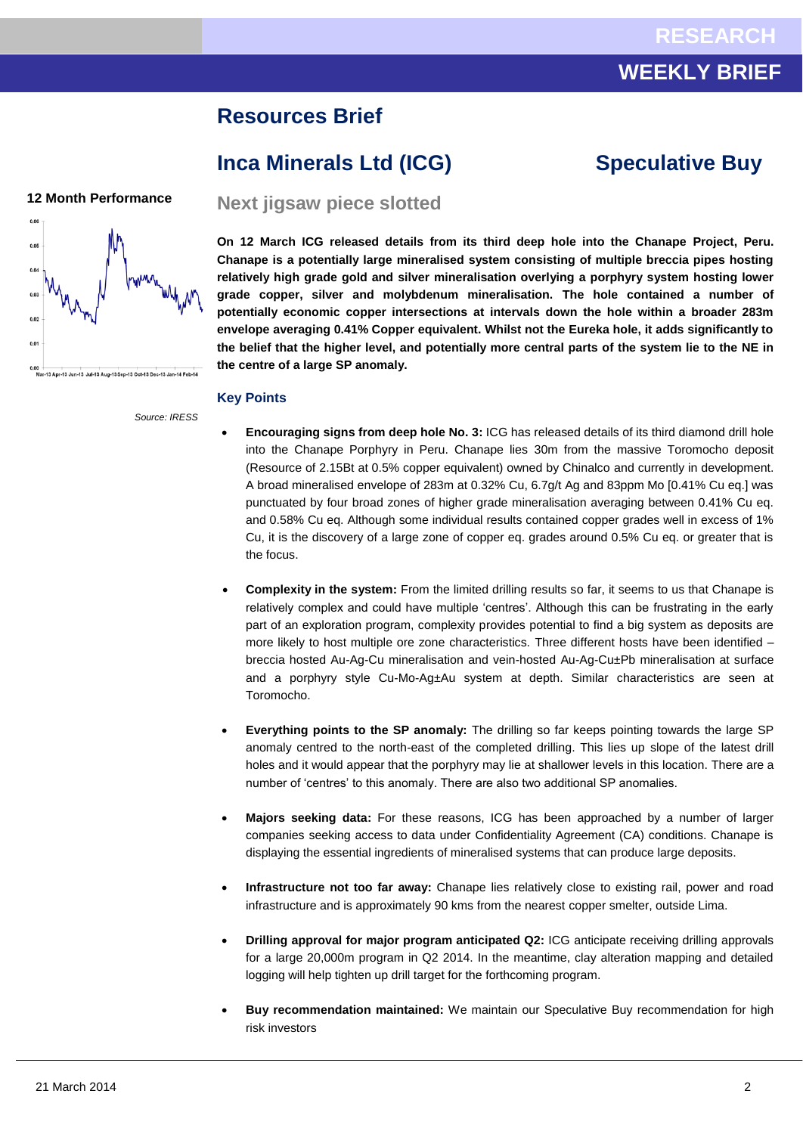## **WEEKLY BRIEF**

## **Resources Brief**

## **Inca Minerals Ltd (ICG) Speculative Buy**

## **12 Month Performance**



*Source: IRESS*

**Next jigsaw piece slotted**

**On 12 March ICG released details from its third deep hole into the Chanape Project, Peru. Chanape is a potentially large mineralised system consisting of multiple breccia pipes hosting relatively high grade gold and silver mineralisation overlying a porphyry system hosting lower grade copper, silver and molybdenum mineralisation. The hole contained a number of potentially economic copper intersections at intervals down the hole within a broader 283m envelope averaging 0.41% Copper equivalent. Whilst not the Eureka hole, it adds significantly to the belief that the higher level, and potentially more central parts of the system lie to the NE in the centre of a large SP anomaly.**

#### **Key Points**

- **Encouraging signs from deep hole No. 3:** ICG has released details of its third diamond drill hole into the Chanape Porphyry in Peru. Chanape lies 30m from the massive Toromocho deposit (Resource of 2.15Bt at 0.5% copper equivalent) owned by Chinalco and currently in development. A broad mineralised envelope of 283m at 0.32% Cu, 6.7g/t Ag and 83ppm Mo [0.41% Cu eq.] was punctuated by four broad zones of higher grade mineralisation averaging between 0.41% Cu eq. and 0.58% Cu eq. Although some individual results contained copper grades well in excess of 1% Cu, it is the discovery of a large zone of copper eq. grades around 0.5% Cu eq. or greater that is the focus.
- **Complexity in the system:** From the limited drilling results so far, it seems to us that Chanape is relatively complex and could have multiple 'centres'. Although this can be frustrating in the early part of an exploration program, complexity provides potential to find a big system as deposits are more likely to host multiple ore zone characteristics. Three different hosts have been identified – breccia hosted Au-Ag-Cu mineralisation and vein-hosted Au-Ag-Cu±Pb mineralisation at surface and a porphyry style Cu-Mo-Ag±Au system at depth. Similar characteristics are seen at Toromocho.
- **Everything points to the SP anomaly:** The drilling so far keeps pointing towards the large SP anomaly centred to the north-east of the completed drilling. This lies up slope of the latest drill holes and it would appear that the porphyry may lie at shallower levels in this location. There are a number of 'centres' to this anomaly. There are also two additional SP anomalies.
- **Majors seeking data:** For these reasons, ICG has been approached by a number of larger companies seeking access to data under Confidentiality Agreement (CA) conditions. Chanape is displaying the essential ingredients of mineralised systems that can produce large deposits.
- **Infrastructure not too far away:** Chanape lies relatively close to existing rail, power and road infrastructure and is approximately 90 kms from the nearest copper smelter, outside Lima.
- **Drilling approval for major program anticipated Q2:** ICG anticipate receiving drilling approvals for a large 20,000m program in Q2 2014. In the meantime, clay alteration mapping and detailed logging will help tighten up drill target for the forthcoming program.
- **Buy recommendation maintained:** We maintain our Speculative Buy recommendation for high risk investors